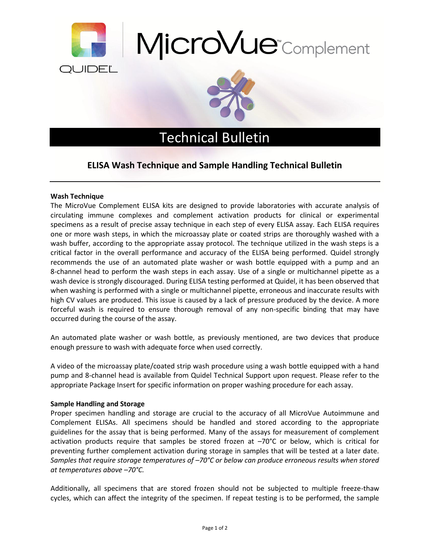





## Technical Bulletin

## **ELISA Wash Technique and Sample Handling Technical Bulletin**

## **Wash Technique**

The MicroVue Complement ELISA kits are designed to provide laboratories with accurate analysis of circulating immune complexes and complement activation products for clinical or experimental specimens as a result of precise assay technique in each step of every ELISA assay. Each ELISA requires one or more wash steps, in which the microassay plate or coated strips are thoroughly washed with a wash buffer, according to the appropriate assay protocol. The technique utilized in the wash steps is a critical factor in the overall performance and accuracy of the ELISA being performed. Quidel strongly recommends the use of an automated plate washer or wash bottle equipped with a pump and an 8-channel head to perform the wash steps in each assay. Use of a single or multichannel pipette as a wash device is strongly discouraged. During ELISA testing performed at Quidel, it has been observed that when washing is performed with a single or multichannel pipette, erroneous and inaccurate results with high CV values are produced. This issue is caused by a lack of pressure produced by the device. A more forceful wash is required to ensure thorough removal of any non-specific binding that may have occurred during the course of the assay.

An automated plate washer or wash bottle, as previously mentioned, are two devices that produce enough pressure to wash with adequate force when used correctly.

A video of the microassay plate/coated strip wash procedure using a wash bottle equipped with a hand pump and 8-channel head is available from Quidel Technical Support upon request. Please refer to the appropriate Package Insert for specific information on proper washing procedure for each assay.

## **Sample Handling and Storage**

Proper specimen handling and storage are crucial to the accuracy of all MicroVue Autoimmune and Complement ELISAs. All specimens should be handled and stored according to the appropriate guidelines for the assay that is being performed. Many of the assays for measurement of complement activation products require that samples be stored frozen at –70°C or below, which is critical for preventing further complement activation during storage in samples that will be tested at a later date*. Samples that require storage temperatures of –70°C or below can produce erroneous results when stored at temperatures above –70°C.*

Additionally, all specimens that are stored frozen should not be subjected to multiple freeze-thaw cycles, which can affect the integrity of the specimen. If repeat testing is to be performed, the sample